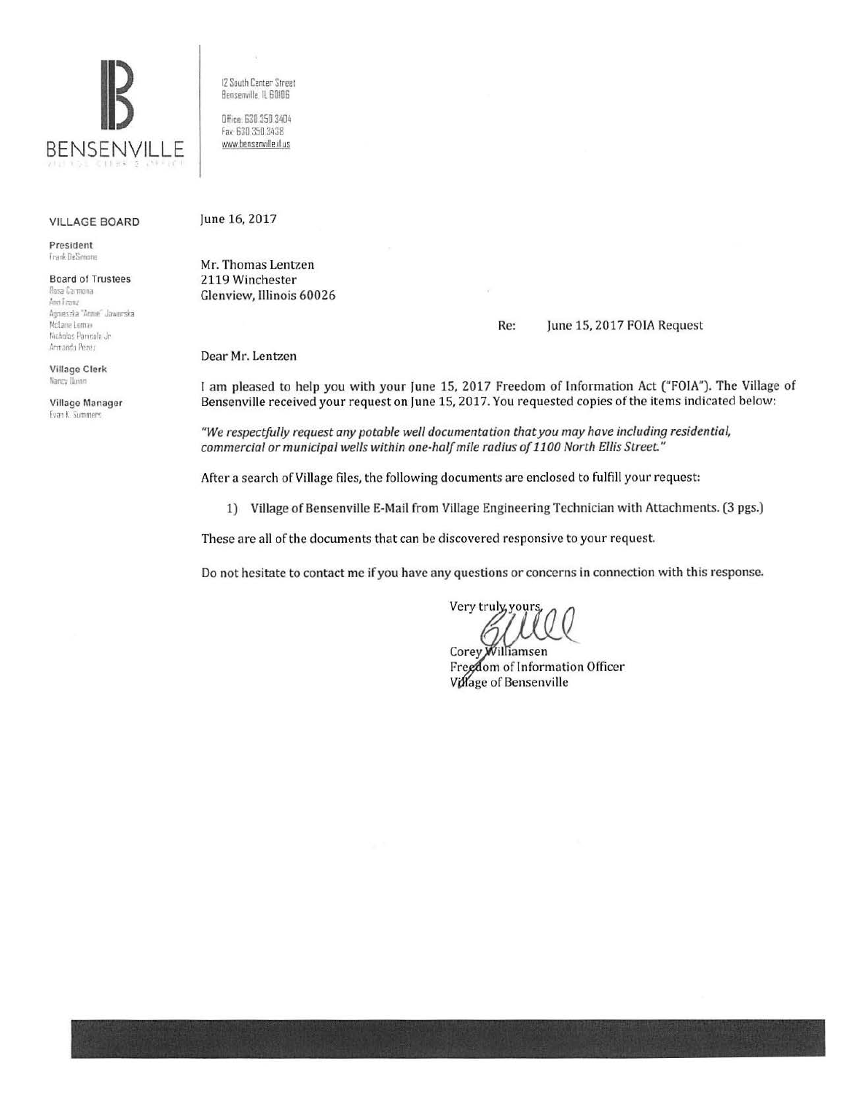

VILLAGE BOARD

President I rar.~ UeS.mone

Board of Trustees Rosa Carmona And Franz Agnieszka "Arme" Jawarska Mclane Lemas Nicholas Panicola Jr Armando Perez

Village Clerk Nancy Dunn

Village Manager Evan K. Summers

12 South Center Street Benserville, IL 60I06

Office: 630 350 3404 fax 630 350 3438 www.benserwille.il us

## June 16, 2017

Mr. Thomas Lentzen 2119 Winchester Glenview, Illinois 60026

## Re: June 15, 2017 FOIA Request

Dear Mr. Lentzen

I am pleased to help you with your June 15, 2017 Freedom of Information Act ("FOIA"). The Village of Bensenville received your request on June 15, 2017. You requested copies of the items indicated below:

*"We respectfully request any potable well documentation that you may have including residential, commercial or municipal wells within one-half mile radius of 1100 North Ellis Street"* 

After a search of Village files, the following documents are enclosed to fulfill your request:

1) Village of Bensenville E-Mail from Village Engineering Technician with Attachments. (3 pgs.)

These are all of the documents that can be discovered responsive to your request.

Do not hesitate to contact me if you have any questions or concerns in connection with this response.

Very truly, yours

Corey Williamsen Freedom of Information Officer Village of Bensenville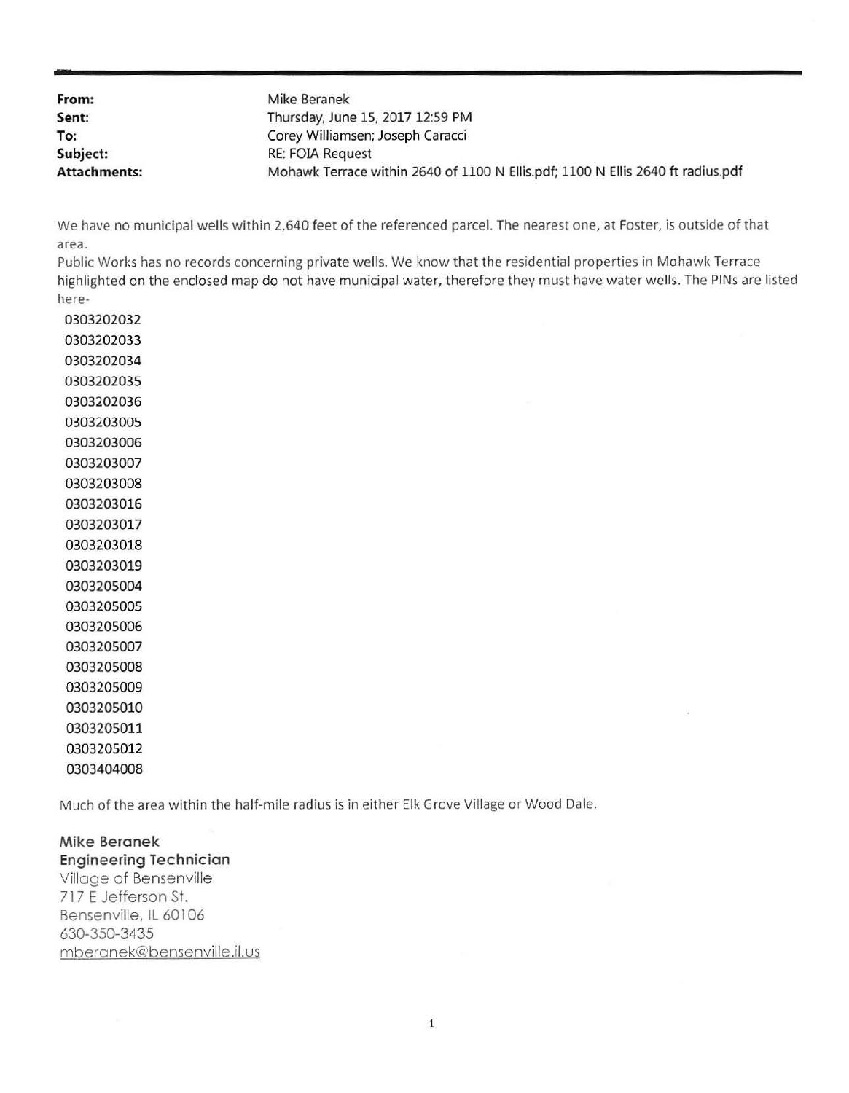| From:               | Mike Beranek                                                                    |
|---------------------|---------------------------------------------------------------------------------|
| Sent:               | Thursday, June 15, 2017 12:59 PM                                                |
| To:                 | Corey Williamsen; Joseph Caracci                                                |
| Subject:            | <b>RE: FOIA Request</b>                                                         |
| <b>Attachments:</b> | Mohawk Terrace within 2640 of 1100 N Ellis.pdf; 1100 N Ellis 2640 ft radius.pdf |

We have no municipal wells within 2,640 feet of the referenced parcel. The nearest one, at Foster, is outside of that area.

Public Works has no records concerning private wells. We know that the residential properties in Mohawk Terrace highlighted on the enclosed map do not have municipal water, therefore they must have water wells. The PINs are listed here-

Much of the area within the half-mile radius is in either Elk Grove Village or Wood Dale.

**Mike Beranek Engineering Technician**  Village of Bensenville 717 E Jefferson St. Bensenville, IL 60106 630-350-3435 mberanek@bensenville.ii.us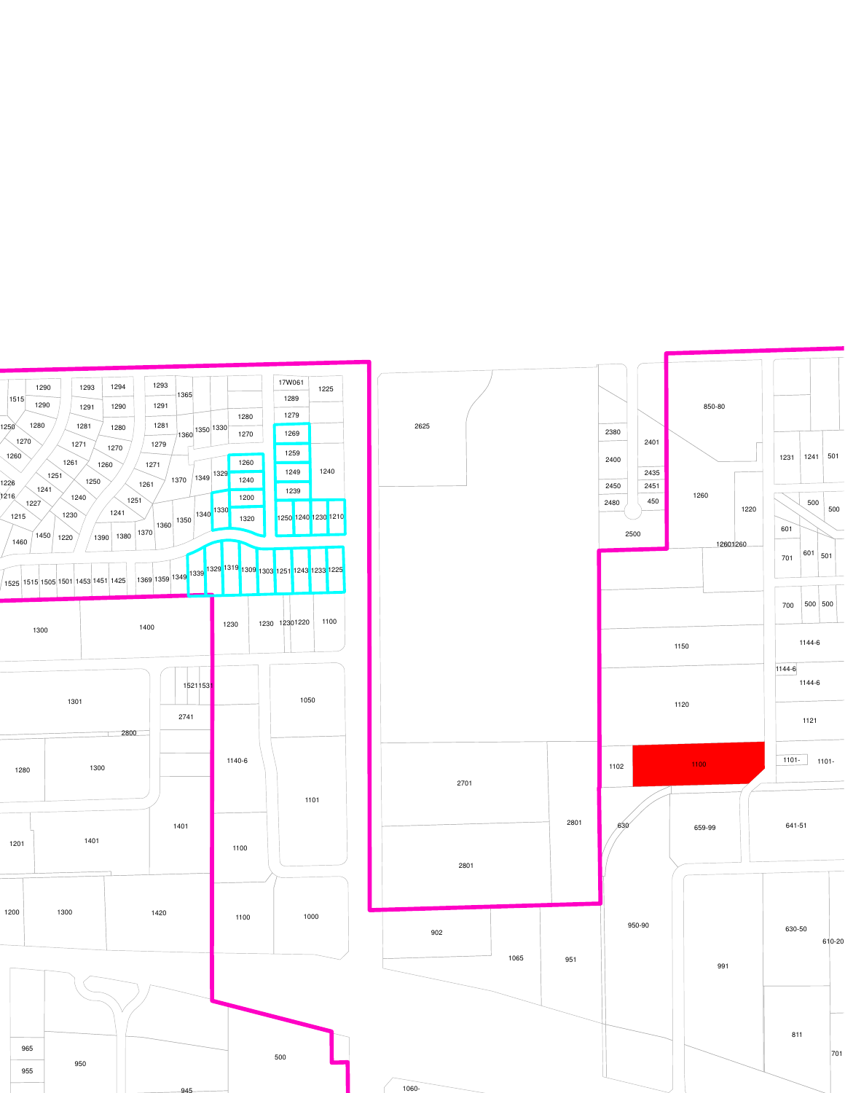